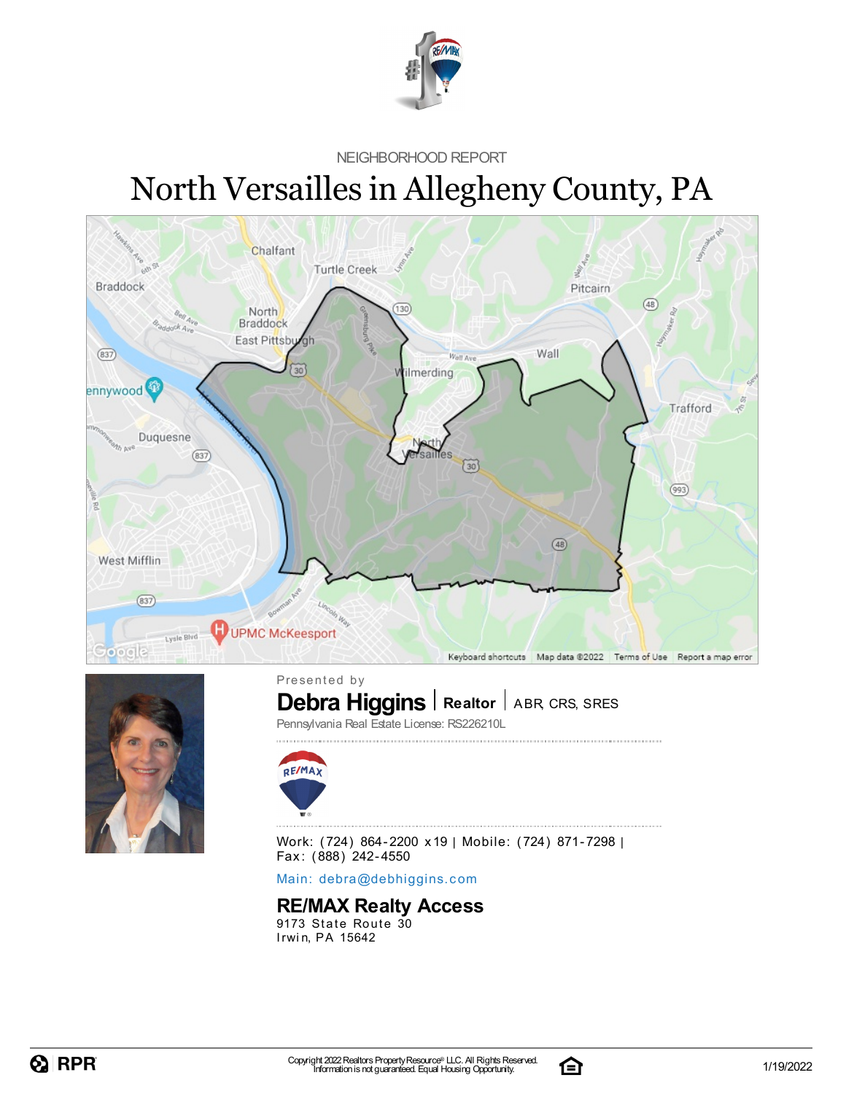

NEIGHBORHOOD REPORT

# North Versailles in Allegheny County, PA





**Debra Higgins** | Realtor | ABR, CRS, SRES Presented by

Pennsylvania Real Estate License: RS226210L



Work: (724) 864-2200 x19 | Mobile: (724) 871-7298 | Fax: (888) 242-4550

Main: debra[@](mailto:debra@debhiggins.com)debhiggins.com

#### **RE/MAX Realty Access**

9173 State Route 30 Irwin, PA 15642

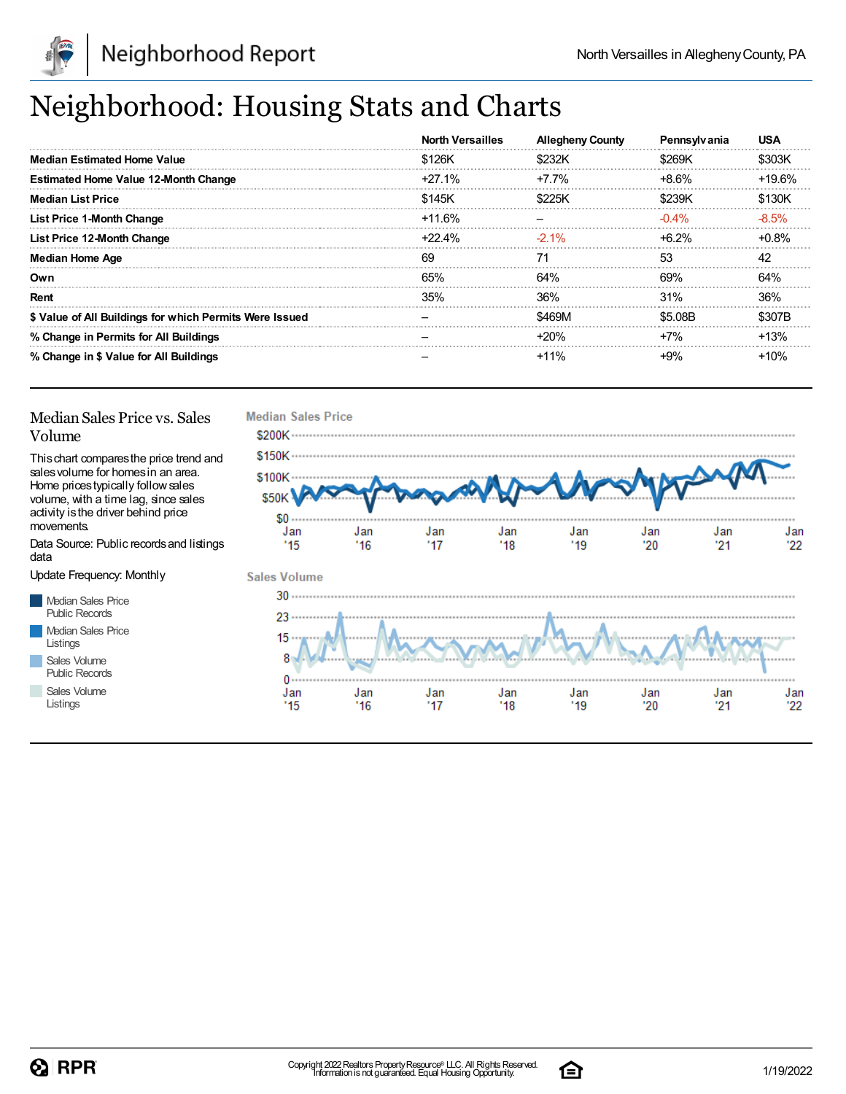

# Neighborhood: Housing Stats and Charts

|                                                         | <b>North Versailles</b> | <b>Allegheny County</b> | Pennsylvania | <b>USA</b> |
|---------------------------------------------------------|-------------------------|-------------------------|--------------|------------|
| <b>Median Estimated Home Value</b>                      | \$126K                  | \$232K                  | \$269K       | \$303K     |
| <b>Estimated Home Value 12-Month Change</b>             | $+27.1%$                | $+7.7\%$                | $+8.6%$      | $+19.6%$   |
| <b>Median List Price</b>                                | \$145K                  | \$225K                  | \$239K       | \$130K     |
| <b>List Price 1-Month Change</b>                        | +11.6%                  |                         | $-0.4\%$     | $-8.5%$    |
| List Price 12-Month Change                              | +22.4%                  | $-2.1\%$                | $+6.2%$      | $+0.8%$    |
| <b>Median Home Age</b>                                  | 69                      | 71                      | 53           | 42         |
| Own                                                     | 65%                     | 64%                     | 69%          | 64%        |
| Rent                                                    | 35%                     | 36%                     | 31%          | 36%        |
| \$ Value of All Buildings for which Permits Were Issued |                         | \$469M                  | \$5.08B      | \$307B     |
| % Change in Permits for All Buildings                   |                         | $+20%$                  | $+7%$        | $+13%$     |
| % Change in \$ Value for All Buildings                  |                         | $+11%$                  | $+9%$        | +10%       |

#### Median Sales Price vs. Sales Volume

Thischart comparesthe price trend and salesvolume for homesin an area. Home pricestypically followsales volume, with a time lag, since sales activity is the driver behind price movements.

Data Source: Public recordsand listings data

Update Frequency: Monthly

Median Sales Price Public Records Median Sales Price Listings Sales Volume

Public Records

Sales Volume Listings



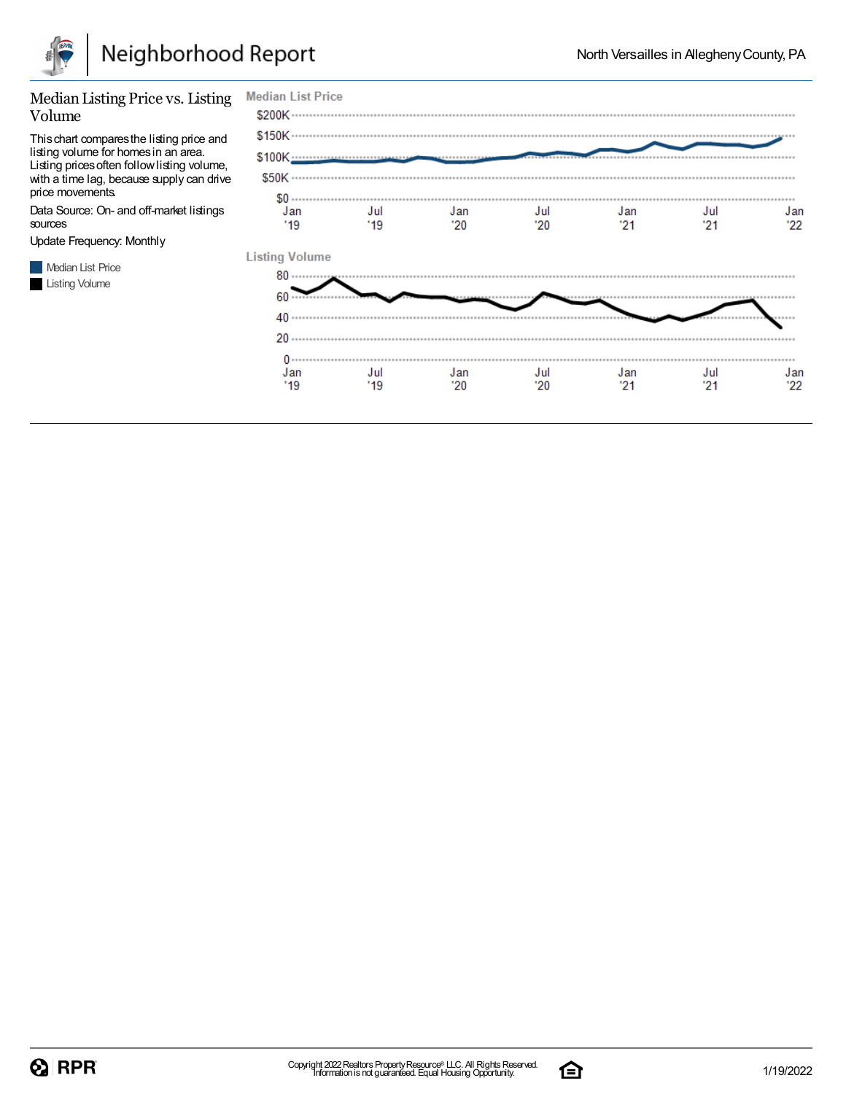

#### Median Listing Price vs. Listing Volume

Thischart comparesthe listing price and listing volume for homesin an area. Listing pricesoften followlisting volume, with a time lag, because supply can drive price movements.

Data Source: On- and off-market listings sources

Update Frequency: Monthly



| <b>Median List Price</b> |             |             |             |           |             |           |
|--------------------------|-------------|-------------|-------------|-----------|-------------|-----------|
|                          |             |             |             |           |             |           |
|                          |             |             |             |           |             |           |
|                          |             |             |             |           |             |           |
|                          |             |             |             |           |             |           |
| Jan<br>'19               | Jul<br>"19" | Jan<br>"20" | Jul<br>"20" | Jan<br>21 | Jul<br>"21" | Jan<br>22 |
| <b>Listing Volume</b>    |             |             |             |           |             |           |
| $80$                     |             |             |             |           |             |           |
| 60                       |             |             |             |           |             |           |
| 40                       |             |             |             |           |             |           |
|                          |             |             |             |           |             |           |
| Jan                      | Jul         | Jan         | Jul         | Jan       | Jul         | Jan       |
| '19                      | "19"        | "20"        | '20         | '21       | '21         | 22        |

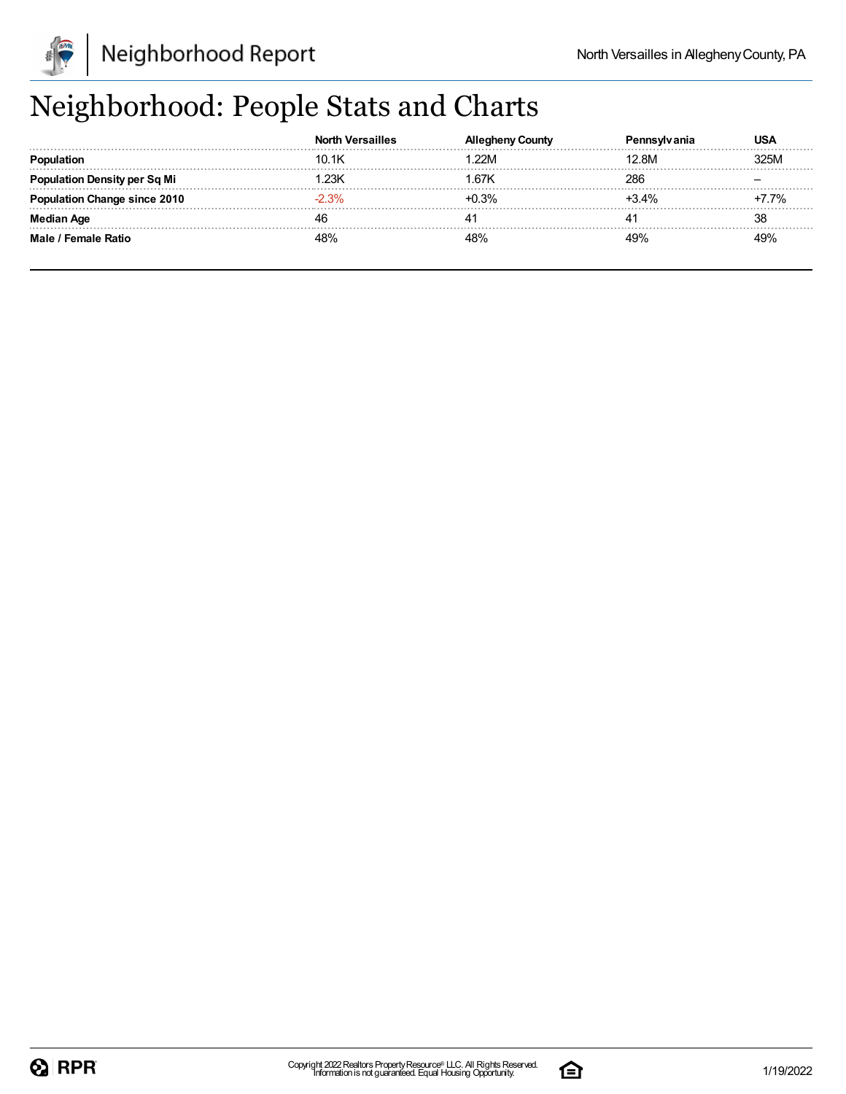

# Neighborhood: People Stats and Charts

|                          | <b>North Versailles</b> | Countv  |         | USA  |
|--------------------------|-------------------------|---------|---------|------|
| opulation                | 10.1K                   | 22M     | 12.8M   | 325M |
| ∣ation Density per Sq Mi | .23K                    | 67K     | 286     |      |
| 'ation Change since 2010 | 3%                      | $+0.3%$ | $+3.4%$ | 7%   |
| Median Age               |                         |         |         | 38   |
| Male / Female Ratio      | '8%                     | 48%     | 49%     | 49%  |

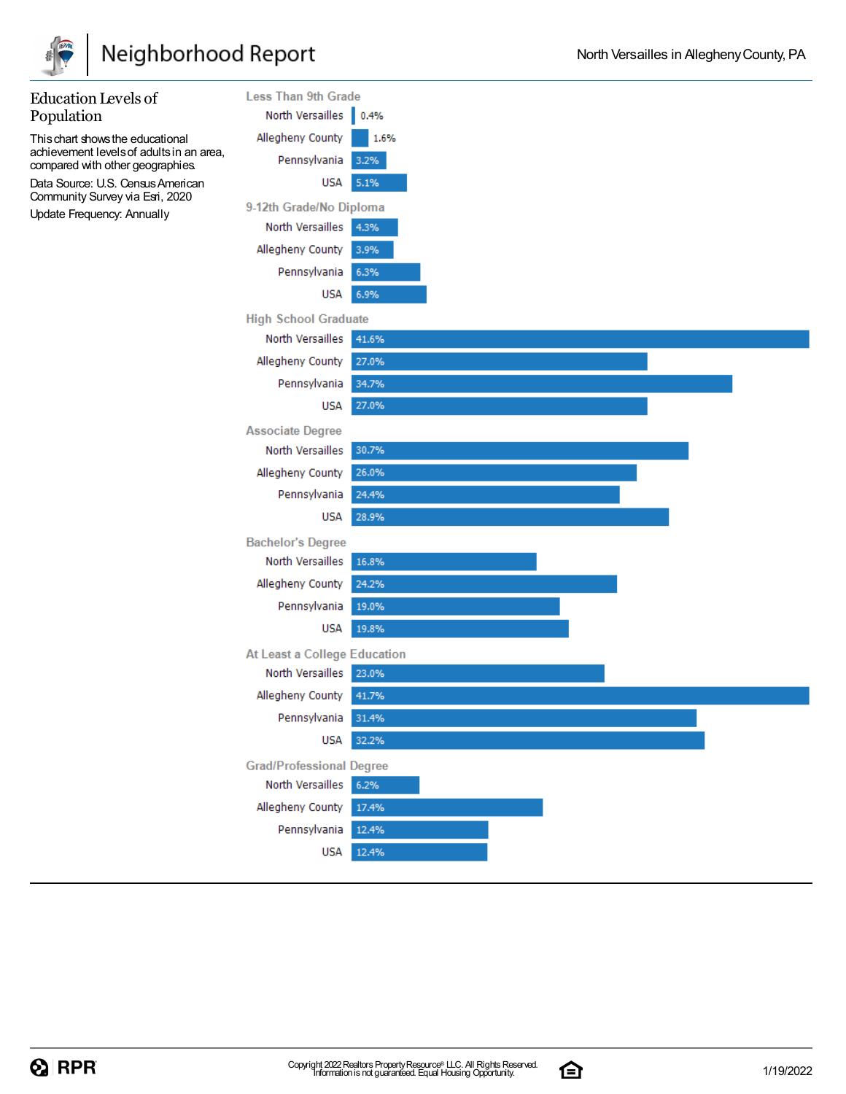

| <b>Education Levels of</b>                                                   | <b>Less Than 9th Grade</b>      |       |
|------------------------------------------------------------------------------|---------------------------------|-------|
| Population                                                                   | North Versailles 0.4%           |       |
| This chart shows the educational                                             | Allegheny County                | 1.6%  |
| achievement levels of adults in an area,<br>compared with other geographies. | Pennsylvania                    | 3.2%  |
| Data Source: U.S. Census American<br>Community Survey via Esri, 2020         | <b>USA</b>                      | 5.1%  |
| Update Frequency: Annually                                                   | 9-12th Grade/No Diploma         |       |
|                                                                              | North Versailles                | 4.3%  |
|                                                                              | Allegheny County                | 3.9%  |
|                                                                              | Pennsylvania                    | 6.3%  |
|                                                                              | <b>USA</b>                      | 6.9%  |
|                                                                              | <b>High School Graduate</b>     |       |
|                                                                              | North Versailles                | 41.6% |
|                                                                              | Allegheny County                | 27.0% |
|                                                                              | Pennsylvania                    | 34.7% |
|                                                                              | <b>USA</b>                      | 27.0% |
|                                                                              | <b>Associate Degree</b>         |       |
|                                                                              | North Versailles                | 30.7% |
|                                                                              | Allegheny County                | 26.0% |
|                                                                              | Pennsylvania                    | 24.4% |
|                                                                              | <b>USA</b>                      | 28.9% |
|                                                                              | <b>Bachelor's Degree</b>        |       |
|                                                                              | North Versailles                | 16.8% |
|                                                                              | Allegheny County                | 24.2% |
|                                                                              | Pennsylvania                    | 19.0% |
|                                                                              | <b>USA</b>                      | 19.8% |
|                                                                              | At Least a College Education    |       |
|                                                                              | North Versailles                | 23.0% |
|                                                                              | Allegheny County                | 41.7% |
|                                                                              | Pennsylvania                    | 31.4% |
|                                                                              | <b>USA</b>                      | 32.2% |
|                                                                              | <b>Grad/Professional Degree</b> |       |
|                                                                              | North Versailles                | 6.2%  |
|                                                                              | Allegheny County                | 17.4% |
|                                                                              | Pennsylvania                    | 12.4% |
|                                                                              | <b>USA</b>                      | 12.4% |
|                                                                              |                                 |       |

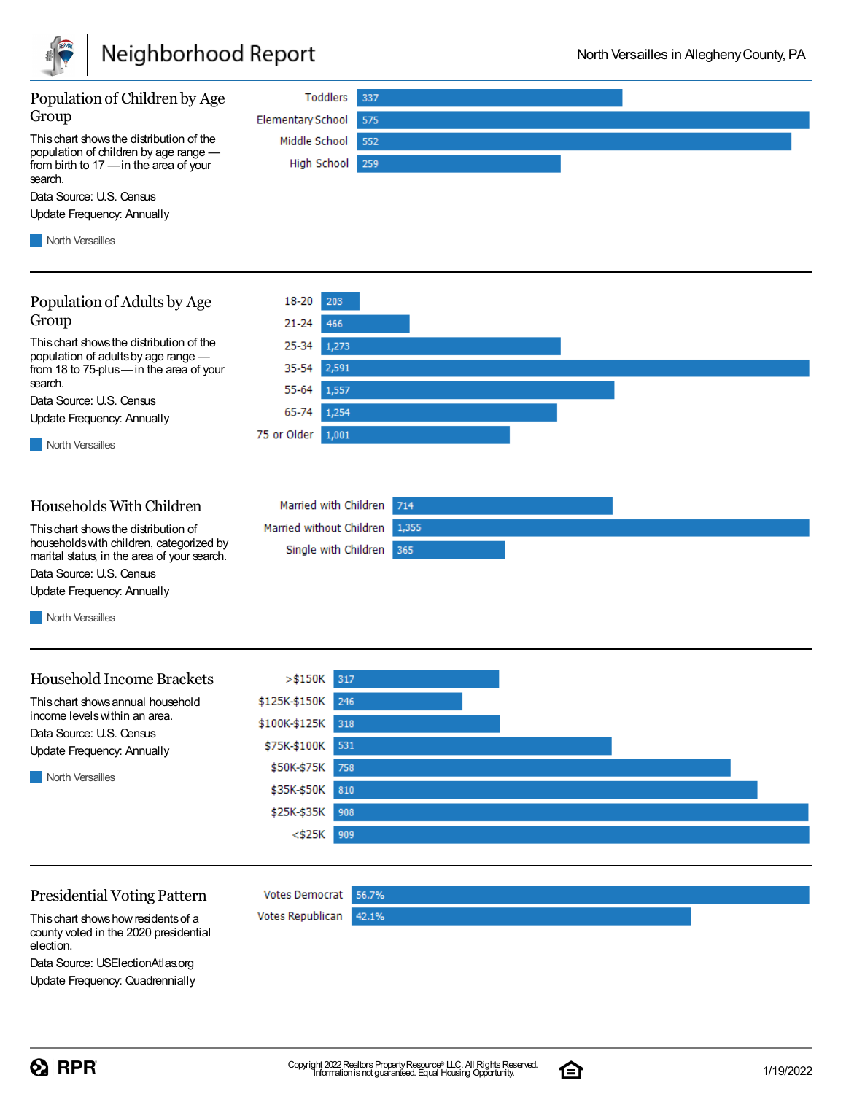

| Population of Children by Age                                                                                                          | Toddlers<br>337                            |
|----------------------------------------------------------------------------------------------------------------------------------------|--------------------------------------------|
| Group                                                                                                                                  | <b>Elementary School</b><br>575            |
| This chart shows the distribution of the<br>population of children by age range -<br>from birth to 17 - in the area of your<br>search. | Middle School<br>552<br>High School<br>259 |
| Data Source: U.S. Census                                                                                                               |                                            |
| <b>Update Frequency: Annually</b>                                                                                                      |                                            |
| <b>North Versailles</b>                                                                                                                |                                            |
|                                                                                                                                        |                                            |
| Population of Adults by Age                                                                                                            | 18-20<br>203                               |
| Group                                                                                                                                  | 466<br>$21 - 24$                           |
| This chart shows the distribution of the                                                                                               | 25-34<br>1,273                             |
| population of adults by age range -<br>from 18 to 75-plus-in the area of your                                                          | 2,591<br>35-54                             |
| search.                                                                                                                                | 55-64<br>1,557                             |
| Data Source: U.S. Census                                                                                                               | 65-74<br>1,254                             |
| Update Frequency: Annually                                                                                                             | 75 or Older<br>1,001                       |
| <b>North Versailles</b>                                                                                                                |                                            |
|                                                                                                                                        |                                            |
| Households With Children                                                                                                               | Married with Children<br>714               |
| This chart shows the distribution of                                                                                                   | Married without Children<br>1,355          |
| households with children, categorized by                                                                                               | Single with Children<br>365                |
| marital status, in the area of your search.<br>Data Source: U.S. Census                                                                |                                            |
| Update Frequency: Annually                                                                                                             |                                            |
| <b>North Versailles</b>                                                                                                                |                                            |
|                                                                                                                                        |                                            |
|                                                                                                                                        |                                            |
| <b>Household Income Brackets</b>                                                                                                       | $>$ \$150K<br>317                          |
| This chart shows annual household                                                                                                      | \$125K-\$150K 246                          |
| income levels within an area.<br>Data Source: U.S. Census                                                                              | \$100K-\$125K<br>318                       |
| Update Frequency: Annually                                                                                                             | 531<br>\$75K-\$100K                        |
| North Versailles                                                                                                                       | \$50K-\$75K<br>758                         |
|                                                                                                                                        | \$35K-\$50K<br>810                         |
|                                                                                                                                        | \$25K-\$35K<br>908                         |
|                                                                                                                                        | $<$ \$25 $K$<br>909                        |
|                                                                                                                                        |                                            |
|                                                                                                                                        |                                            |
| <b>Presidential Voting Pattern</b>                                                                                                     | <b>Votes Democrat</b><br>56.7%             |
| This chart shows how residents of a<br>county voted in the 2020 presidential                                                           | Votes Republican<br>42.1%                  |

election. Data Source: USElectionAtlas.org Update Frequency: Quadrennially

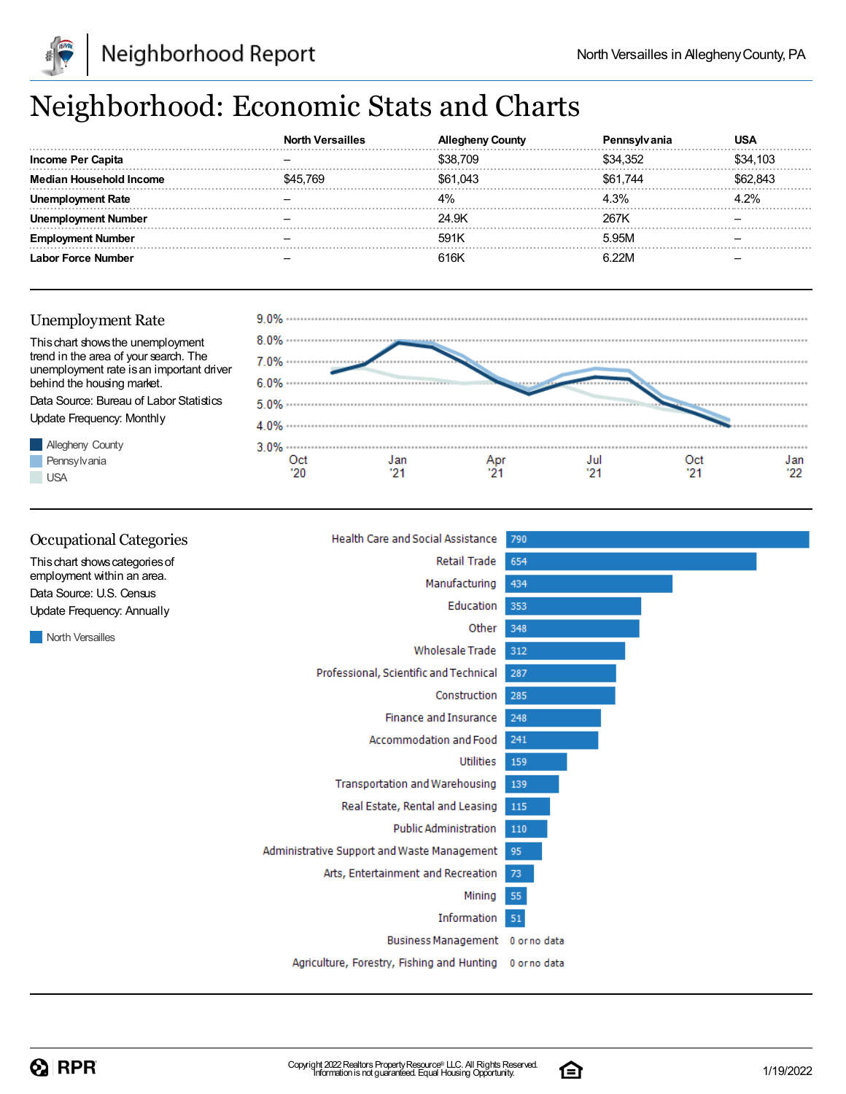

# Neighborhood: Economic Stats and Charts

| <b>Income Per Capita</b> |     | \$38,709 | \$34.352 | \$34,103 |
|--------------------------|-----|----------|----------|----------|
| Median Household Income  | 769 | \$61.043 | \$61.744 | 62.843   |
|                          |     | 4%       | 4.3%     | 2%       |
| Number                   |     | 24.9K    | 267K     |          |
| Number                   |     | 591K     | 5.95M    |          |
| Labor Force Number       |     | 616K     | R 22M    |          |

#### Unemployment Rate Thischart showsthe unemployment trend in the area of your search. The  $7.0\%$  .......... unemployment rate is an important driver behind the housing market. 6.0% Data Source: Bureau of Labor Statistics 5.0% ............................ Update Frequency: Monthly Allegheny County  $3.0\%$  .......... Pennsylvania Oct Jan Apr Jul Oct Jan  $'20$  $21$  $21$  $21$  $21$ '22 **USA**

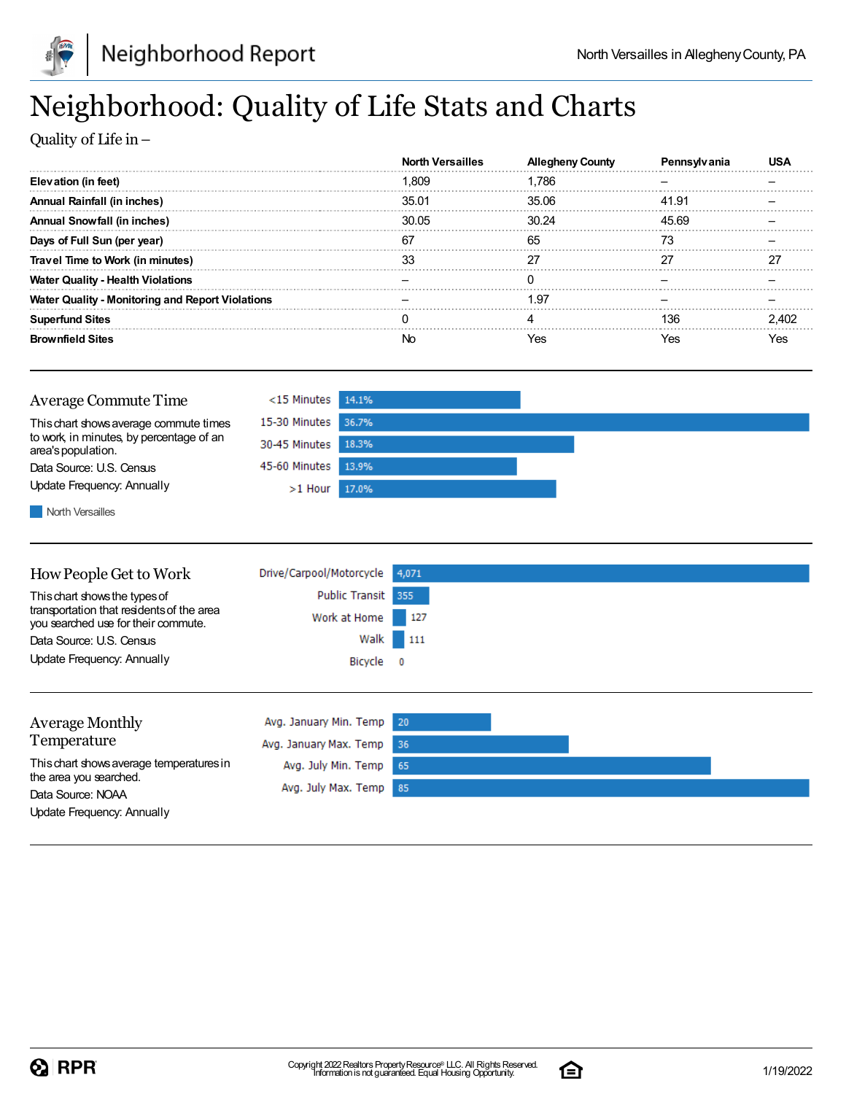



# Neighborhood: Quality of Life Stats and Charts

Quality of Life in–

|                                                         | <b>North Versailles</b> | Alleaheny County | rennsvivania |       |
|---------------------------------------------------------|-------------------------|------------------|--------------|-------|
| Elevation (in feet)                                     | 1.809                   | 1.786            |              |       |
| <b>Annual Rainfall (in inches)</b>                      | 35.01                   | 35.06            | 41.91        |       |
| <b>Annual Snowfall (in inches)</b>                      | 30.05                   | 30.24            | 45.69        |       |
| Days of Full Sun (per year)                             | 67                      | 65               | 73           |       |
| Travel Time to Work (in minutes)                        |                         |                  |              | 27    |
| <b>Water Quality - Health Violations</b>                |                         |                  |              |       |
| <b>Water Quality - Monitoring and Report Violations</b> |                         | 1.97             |              |       |
| <b>Superfund Sites</b>                                  |                         |                  | 136          | 2.402 |
| <b>Brownfield Sites</b>                                 | No                      | Yes              | Yes          | Yes   |



North Versailles

| How People Get to Work                                                                                            | Drive/Carpool/Motorcycle              | 4,071         |
|-------------------------------------------------------------------------------------------------------------------|---------------------------------------|---------------|
| This chart shows the types of<br>transportation that residents of the area<br>you searched use for their commute. | <b>Public Transit</b><br>Work at Home | 355<br>$-127$ |
| Data Source: U.S. Census                                                                                          |                                       | Walk 111      |
| Update Frequency: Annually                                                                                        | Bicycle 0                             |               |
|                                                                                                                   |                                       |               |
| <b>Average Monthly</b>                                                                                            | Avg. January Min. Temp                | 20            |
| Temperature                                                                                                       | Avg. January Max. Temp                | -36           |

65

85

Avg. July Min. Temp

Avg. July Max. Temp

Thischart showsaverage temperaturesin the area you searched. Data Source: NOAA Update Frequency: Annually

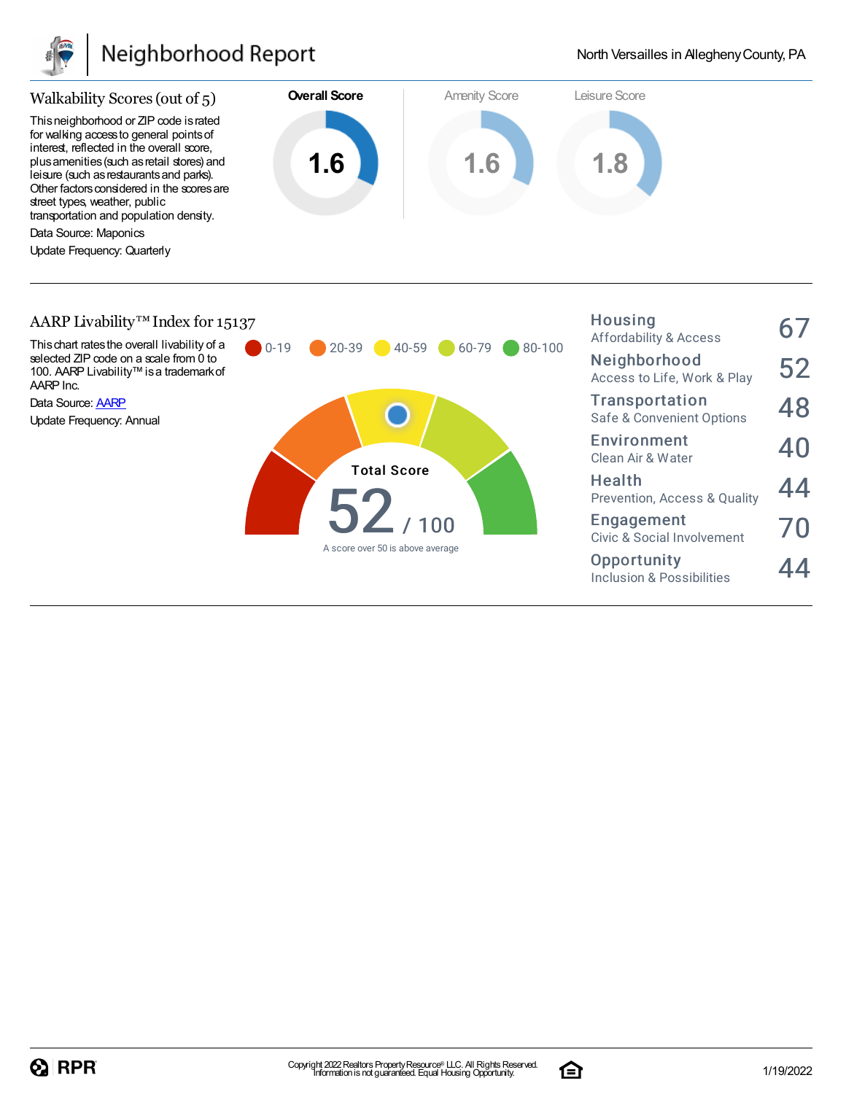

## Neighborhood Report

Housing



#### AARP Livability<sup>™</sup> Index for 15137